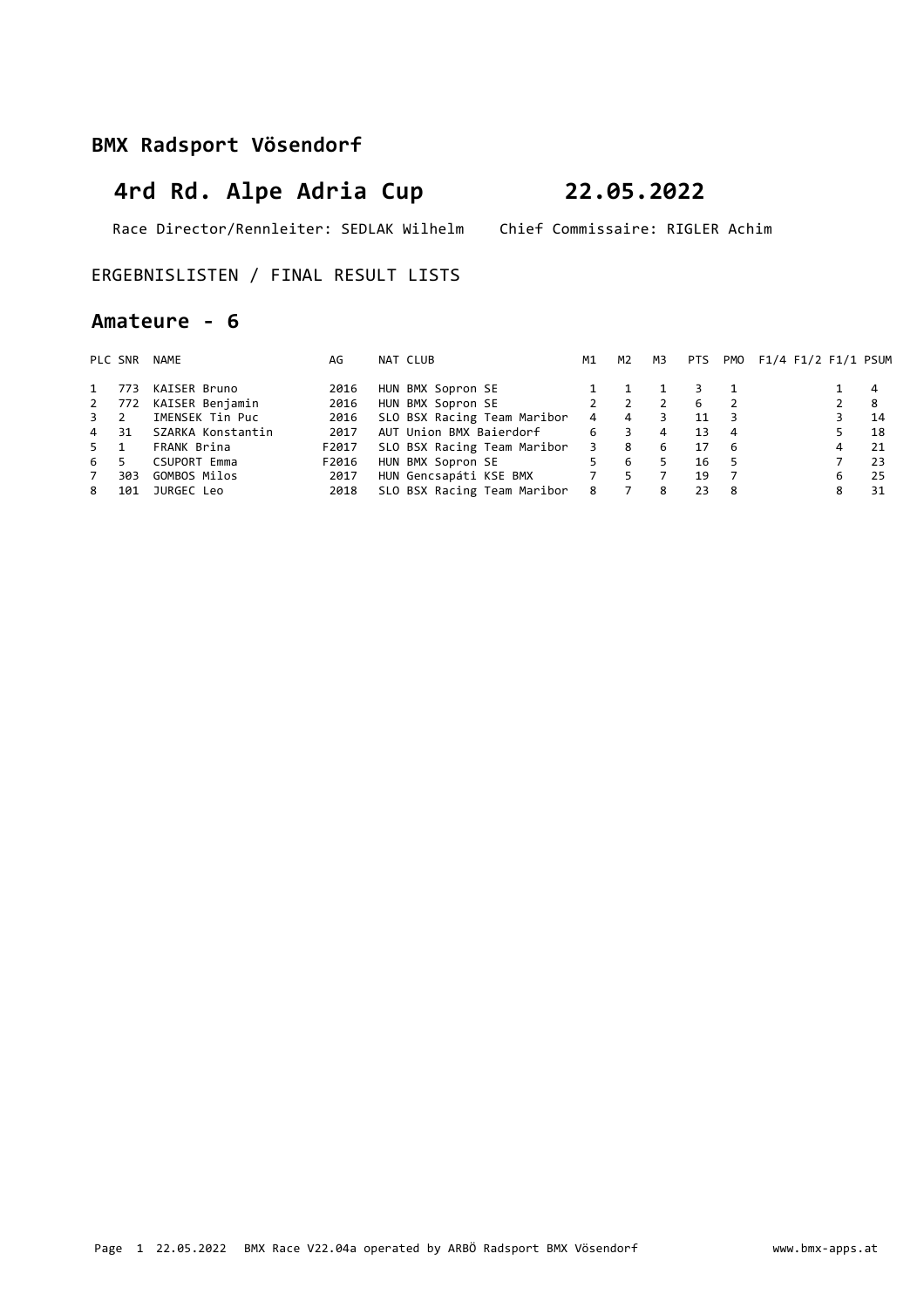# **4rd Rd. Alpe Adria Cup 22.05.2022**

Race Director/Rennleiter: SEDLAK Wilhelm Chief Commissaire: RIGLER Achim

### ERGEBNISLISTEN / FINAL RESULT LISTS

### **Amateure - 6**

|      | PLC SNR | NAME                | AG    | NAT CLUB                    | M1                      | M2             | M3 |    |                | PTS PMO F1/4 F1/2 F1/1 PSUM |                |     |
|------|---------|---------------------|-------|-----------------------------|-------------------------|----------------|----|----|----------------|-----------------------------|----------------|-----|
| 1    | 773     | KAISER Bruno        | 2016  | HUN BMX Sopron SE           |                         |                |    |    |                |                             |                | 4   |
|      | 2 772   | KAISER Benjamin     | 2016  | HUN BMX Sopron SE           |                         | 2              |    | 6  | $\overline{2}$ |                             | $\overline{2}$ | - 8 |
| 3 2  |         | IMENSEK Tin Puc     | 2016  | SLO BSX Racing Team Maribor | 4                       | $\overline{4}$ |    | 11 |                |                             |                | 14  |
| 4 31 |         | SZARKA Konstantin   | 2017  | AUT Union BMX Baierdorf     | 6                       | 3              | 4  | 13 | 4              |                             |                | 18  |
| 5 1  |         | FRANK Brina         | F2017 | SLO BSX Racing Team Maribor | $\overline{\mathbf{3}}$ | -8             | 6  | 17 | - 6            |                             | 4              | 21  |
| 6    |         | <b>CSUPORT Emma</b> | F2016 | HUN BMX Sopron SE           | 5                       | -6             | 5. | 16 | - 5            |                             |                | 23  |
| 7    | 303     | GOMBOS Milos        | 2017  | HUN Gencsapáti KSE BMX 7    |                         | 5              |    | 19 |                |                             | 6.             | 25  |
| 8    | 101     | JURGEC Leo          | 2018  | SLO BSX Racing Team Maribor | 8                       |                | 8  | 23 | - 8            |                             | 8              | 31  |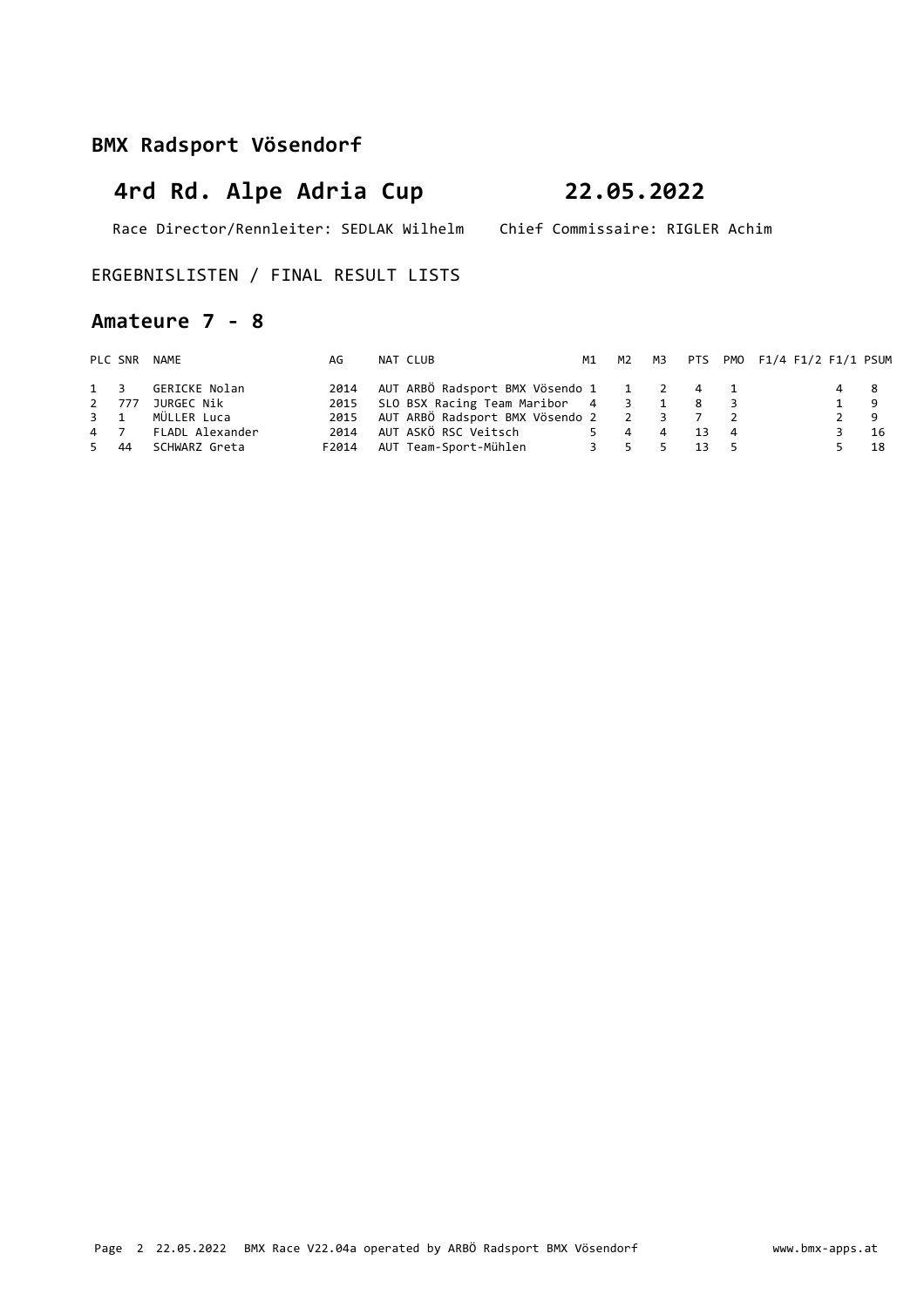Race Director/Rennleiter: SEDLAK Wilhelm Chief Commissaire: RIGLER Achim

### ERGEBNISLISTEN / FINAL RESULT LISTS

### **Amateure 7 - 8**

|      |       | PLC SNR NAME      | AG    | NAT CLUB                                        |  |        | M1 M2 M3 PTS PMO F1/4 F1/2 F1/1 PSUM |       |      |
|------|-------|-------------------|-------|-------------------------------------------------|--|--------|--------------------------------------|-------|------|
|      |       | 1 3 GERICKE Nolan | 2014  | AUT ARBÖ Radsport BMX Vösendo 1   1   2   4   1 |  |        |                                      | 4 8   |      |
|      | 2 777 | JURGEC Nik        |       | 2015 SLO BSX Racing Team Maribor 4 3 1 8 3      |  |        |                                      | 1 9   |      |
|      |       | 3 1 MÜLLER Luca   |       | 2015 AUT ARBÖ Radsport BMX Vösendo 2 2 3 7 2    |  |        |                                      | $2^9$ |      |
|      | 4 7   | FLADL Alexander   | 2014  |                                                 |  | 4 13 4 |                                      |       | - 16 |
| 5 44 |       | SCHWARZ Greta     | F2014 |                                                 |  | 13 5   |                                      |       | - 18 |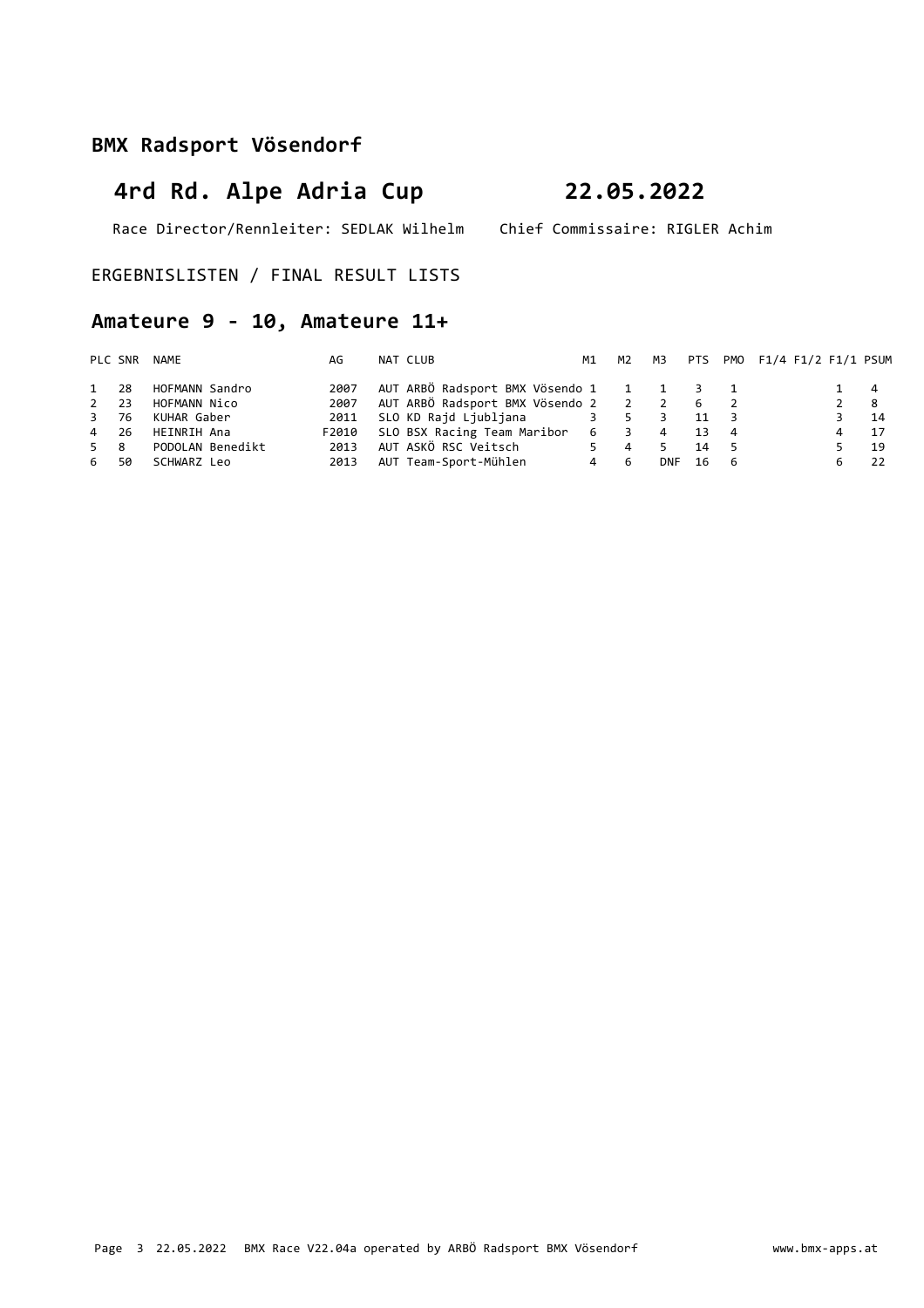# **4rd Rd. Alpe Adria Cup 22.05.2022**

Race Director/Rennleiter: SEDLAK Wilhelm Chief Commissaire: RIGLER Achim

ERGEBNISLISTEN / FINAL RESULT LISTS

## **Amateure 9 - 10, Amateure 11+**

|           | PLC SNR | NAME             | AG    | NAT CLUB                                | M1  | M2 M3          |                |    |     | PTS PMO F1/4 F1/2 F1/1 PSUM |             |      |
|-----------|---------|------------------|-------|-----------------------------------------|-----|----------------|----------------|----|-----|-----------------------------|-------------|------|
| 1 28      |         | HOFMANN Sandro   | 2007  | AUT ARBÖ Radsport BMX Vösendo 1 1 1 3 1 |     |                |                |    |     |                             | 1 4         |      |
| $2 \t 23$ |         | HOFMANN Nico     | 2007  | AUT ARBÖ Radsport BMX Vösendo 2 2 2 6 2 |     |                |                |    |     |                             | $2 \quad 8$ |      |
| 3 76      |         | KUHAR Gaber      | 2011  | SLO KD Rajd Ljubljana 3 5 3             |     |                |                | 11 |     |                             |             | - 14 |
| 4 26      |         | HEINRIH Ana      | F2010 | SLO BSX Racing Team Maribor 6 3         |     |                | $\overline{4}$ | 13 | 4   |                             | 4           | 17   |
| 5 8       |         | PODOLAN Benedikt | 2013  | AUT ASKÖ RSC Veitsch                    | 5.  | $\overline{4}$ |                | 14 | - 5 |                             |             | 19   |
| 6 50      |         | SCHWARZ Leo      | 2013  | AUT Team-Sport-Mühlen                   | 4 6 |                | <b>DNF</b>     | 16 | - 6 |                             |             | -22  |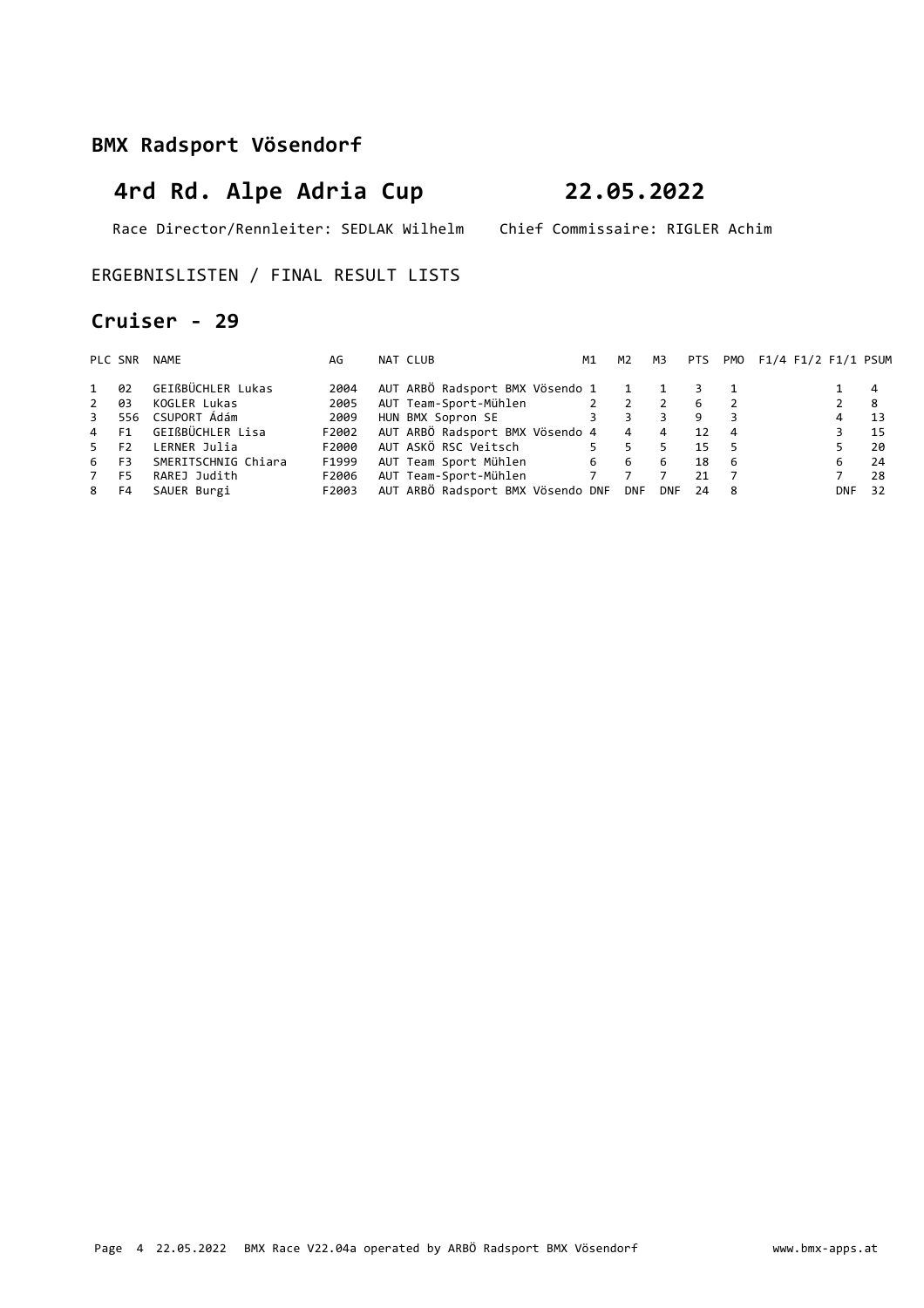# **4rd Rd. Alpe Adria Cup 22.05.2022**

Race Director/Rennleiter: SEDLAK Wilhelm Chief Commissaire: RIGLER Achim

ERGEBNISLISTEN / FINAL RESULT LISTS

### **Cruiser - 29**

|                  | PLC SNR | NAME                | AG    | NAT CLUB                              | M1 |     | M2 | M3       | <b>PTS</b>      |                | PMO F1/4 F1/2 F1/1 PSUM |                |     |
|------------------|---------|---------------------|-------|---------------------------------------|----|-----|----|----------|-----------------|----------------|-------------------------|----------------|-----|
| 1                | 02      | GEIßBÜCHLER Lukas   | 2004  | AUT ARBÖ Radsport BMX Vösendo 1 1 1 3 |    |     |    |          |                 |                |                         |                | 4   |
| $2^{\circ}$      | 03      | KOGLER Lukas        | 2005  | AUT Team-Sport-Mühlen 2 2 2           |    |     |    |          | - 6             | $\overline{2}$ |                         | $\overline{2}$ | - 8 |
|                  |         | 3 556 CSUPORT Ádám  | 2009  | HUN BMX Sopron SE 3 3                 |    |     |    | 3        | 9               |                |                         | 4              | 13  |
| 4 F1             |         | GEIßBÜCHLER Lisa    | F2002 | AUT ARBÖ Radsport BMX Vösendo 4 4 4   |    |     |    |          | 12 <sup>2</sup> | $\overline{4}$ |                         |                | -15 |
| 5 F <sub>2</sub> |         | LERNER Julia        | F2000 | AUT ASKÖ RSC Veitsch                  |    | 5 5 |    |          | 15              |                |                         |                | 20  |
| 6 F3             |         | SMERITSCHNIG Chiara | F1999 | AUT Team Sport Mühlen                 |    | 6 6 |    | 6        | 18              | - 6            |                         | 6              | 24  |
| 7                | F5      | RAREJ Judith        | F2006 | AUT Team-Sport-Mühlen 7 7             |    |     |    |          | 21              |                |                         |                | 28  |
| 8 F4             |         | SAUER Burgi         | F2003 | AUT ARBÖ Radsport BMX Vösendo DNF DNF |    |     |    | DNF 24 8 |                 |                |                         | <b>DNF</b>     | 32  |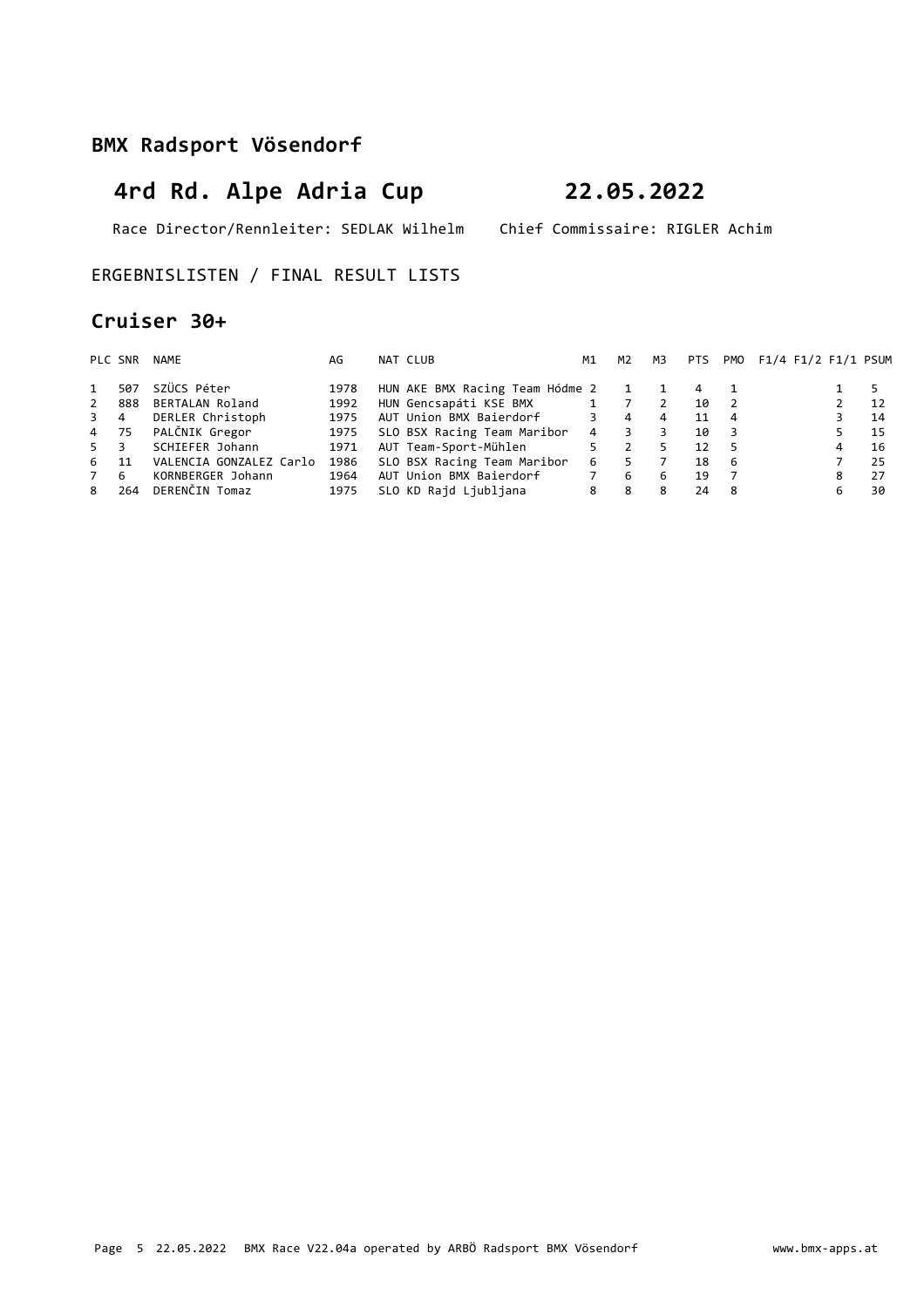# **4rd Rd. Alpe Adria Cup 22.05.2022**

Race Director/Rennleiter: SEDLAK Wilhelm Chief Commissaire: RIGLER Achim

### ERGEBNISLISTEN / FINAL RESULT LISTS

### **Cruiser 30+**

|                | PLC SNR | NAME                    | AG   | NAT CLUB                            | M1             | M2             | мз | PTS |                | PMO F1/4 F1/2 F1/1 PSUM |   |      |
|----------------|---------|-------------------------|------|-------------------------------------|----------------|----------------|----|-----|----------------|-------------------------|---|------|
| $\mathbf{1}$   | 507     | SZÜCS Péter             | 1978 | HUN AKE BMX Racing Team Hódme 2 1 1 |                |                |    | 4   |                |                         |   | - 5  |
| $\overline{2}$ | 888     | BERTALAN Roland         | 1992 | HUN Gencsapáti KSE BMX 1 7          |                |                | 2  | 10  | 2              |                         |   | - 12 |
| 3 4            |         | DERLER Christoph        | 1975 | AUT Union BMX Baierdorf             | $3^{\circ}$    | $\overline{4}$ | 4  | 11  | $\overline{4}$ |                         |   | 14   |
| 4 75           |         | PALČNIK Gregor          | 1975 | SLO BSX Racing Team Maribor         | $\overline{4}$ | 3              |    | 10  | -3             |                         |   | 15   |
| 5 3            |         | SCHIEFER Johann         | 1971 | AUT Team-Sport-Mühlen               | $5 -$          | $\overline{2}$ |    | 12  | - 5            |                         | 4 | 16   |
| 6 11           |         | VALENCIA GONZALEZ Carlo | 1986 | SLO BSX Racing Team Maribor         | 6              | 5.             |    | 18  | -6             |                         |   | 25   |
| 7              | -6      | KORNBERGER Johann       | 1964 | AUT Union BMX Baierdorf             | $7^{\circ}$    | -6             | 6  | 19  |                |                         | 8 | 27   |
| 8              | 264     | DERENČIN Tomaz          | 1975 | SLO KD Rajd Ljubljana               | 8              | 8              | 8  | 24  | - 8            |                         | 6 | 30   |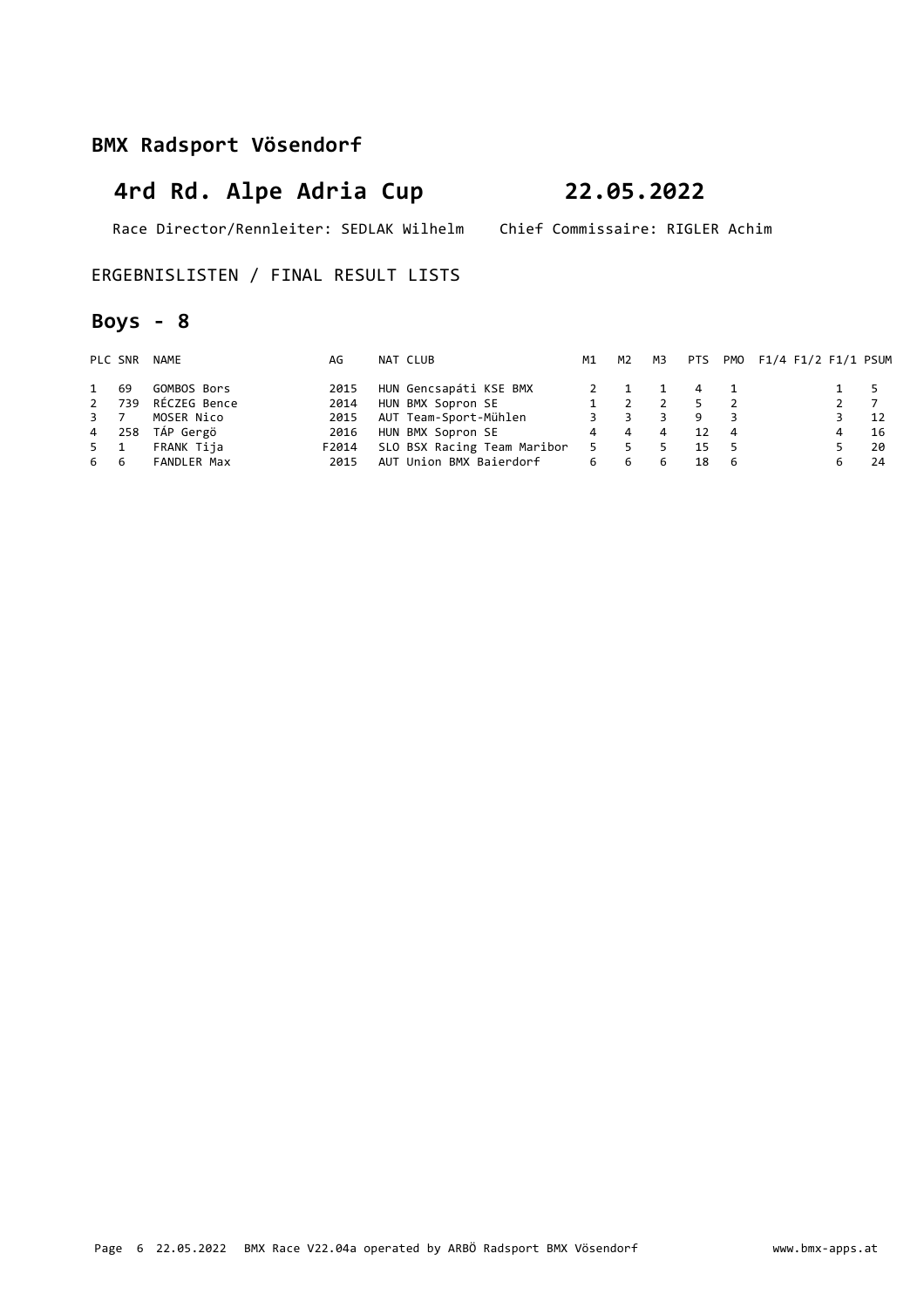Race Director/Rennleiter: SEDLAK Wilhelm Chief Commissaire: RIGLER Achim

### ERGEBNISLISTEN / FINAL RESULT LISTS

## **Boys - 8**

|      | PLC SNR | NAME               | AG    | NAT CLUB                    | M1             | M2  | мз |    |     | PTS PMO F1/4 F1/2 F1/1 PSUM |                  |      |
|------|---------|--------------------|-------|-----------------------------|----------------|-----|----|----|-----|-----------------------------|------------------|------|
| 1 69 |         | GOMBOS Bors        | 2015  | HUN Gencsapáti KSE BMX      |                |     |    | 4  |     |                             | 1 5              |      |
|      | 2 739   | RÉCZEG Bence       | 2014  | HUN BMX Sopron SE           |                |     |    | 5. |     |                             | $2 \overline{7}$ |      |
| 3 7  |         | MOSER Nico         | 2015  | AUT Team-Sport-Mühlen       | $\overline{3}$ |     |    | 9  |     |                             |                  | 12   |
|      |         | 4 258 TÁP Gergö    | 2016  | HUN BMX Sopron SE           |                | 4 4 | 4  | 12 | -4  |                             | 4                | - 16 |
| 5 1  |         | FRANK Tija         | F2014 | SLO BSX Racing Team Maribor | 5.             | 5   |    | 15 | - 5 |                             |                  | - 20 |
| 66   |         | <b>FANDLER Max</b> | 2015  | AUT Union BMX Baierdorf     |                | 6 6 | -6 | 18 | - 6 |                             |                  | -24  |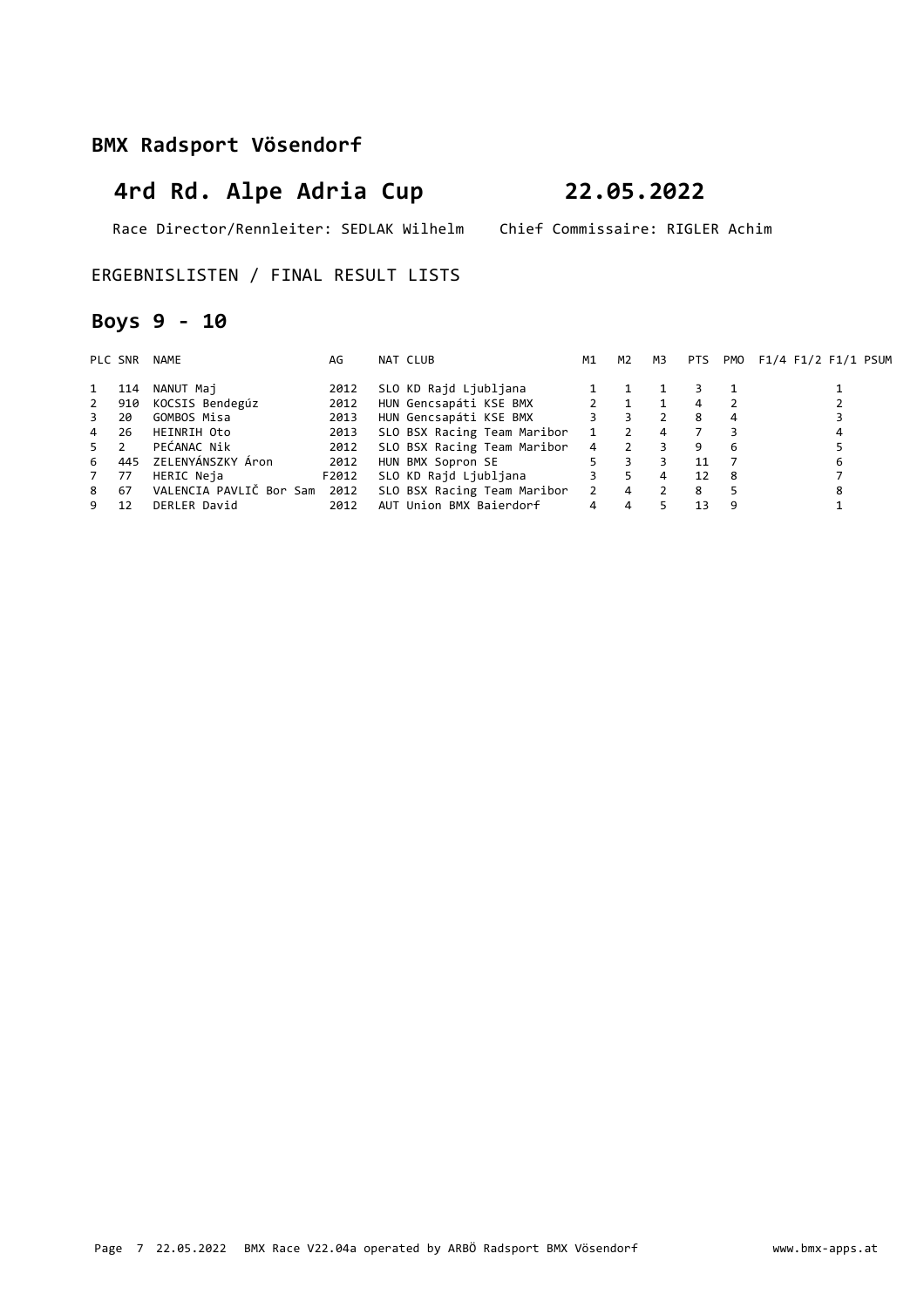Race Director/Rennleiter: SEDLAK Wilhelm Chief Commissaire: RIGLER Achim

ERGEBNISLISTEN / FINAL RESULT LISTS

## **Boys 9 - 10**

|                | PLC SNR | NAME                    | AG    | NAT CLUB                                                 | М1             | M2             | M3            | PTS |    | PMO F1/4 F1/2 F1/1 PSUM |
|----------------|---------|-------------------------|-------|----------------------------------------------------------|----------------|----------------|---------------|-----|----|-------------------------|
| 1              | 114     | NANUT Maj               | 2012  | SLO KD Rajd Ljubljana                                    |                |                |               |     |    |                         |
|                | 2 910   | KOCSIS Bendegúz         | 2012  | HUN Gencsapáti KSE BMX                                   | 2 1            |                |               | 4   |    |                         |
| 3 20           |         | GOMBOS Misa             | 2013  | HUN Gencsapáti KSE BMX                                   | 3              | 3              |               | 8   |    |                         |
| 4 26           |         | HEINRIH Oto             | 2013  | SLO BSX Racing Team Maribor                              |                | $\mathcal{L}$  | 4             |     |    | 4                       |
| 5 <sub>2</sub> |         | PEĆANAC Nik             | 2012  | SLO BSX Racing Team Maribor                              |                | 4 2            |               | 9   | 6  |                         |
|                |         | 6 445 ZELENYÁNSZKY Áron | 2012  | HUN BMX Sopron SE                                        | 5              | 3              |               | 11  |    | 6                       |
| 7              | 77      | HERIC Neja              | F2012 | SLO KD Rajd Ljubljana                                    | $3^{\circ}$    | 5.             | 4             | 12  | -8 |                         |
| 8 67           |         |                         |       | VALENCIA PAVLIČ Bor Sam 2012 SLO BSX Racing Team Maribor | $\overline{2}$ | $\overline{4}$ | $\mathcal{P}$ | 8   |    |                         |
| 9              | 12      | DERLER David            | 2012  | AUT Union BMX Baierdorf                                  | 4              | $\overline{a}$ |               | 13  | 9  |                         |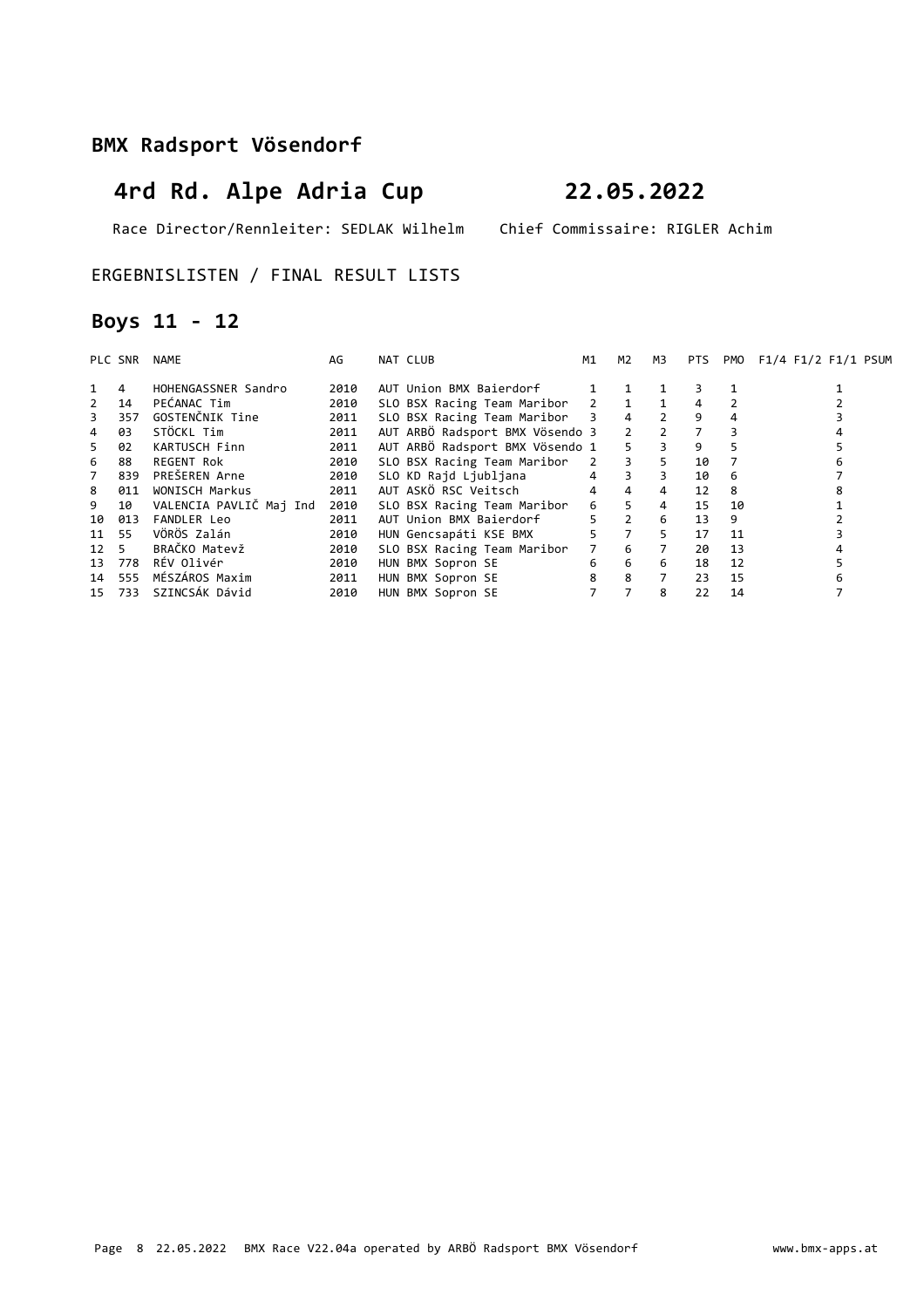# **4rd Rd. Alpe Adria Cup 22.05.2022**

Race Director/Rennleiter: SEDLAK Wilhelm Chief Commissaire: RIGLER Achim

### ERGEBNISLISTEN / FINAL RESULT LISTS

## **Boys 11 - 12**

|             | PLC SNR | <b>NAME</b>             | AG   | NAT CLUB                          | M1             | M <sub>2</sub> | M3             | PTS. | PMO | F1/4 F1/2 F1/1 PSUM |
|-------------|---------|-------------------------|------|-----------------------------------|----------------|----------------|----------------|------|-----|---------------------|
|             | 4       | HOHENGASSNER Sandro     | 2010 | AUT Union BMX Baierdorf           |                |                |                | 3    |     |                     |
| $2^{\circ}$ | 14      | PEĆANAC Tim             | 2010 | SLO BSX Racing Team Maribor 2 1 1 |                |                |                | 4    |     |                     |
| 3           | 357     | GOSTENČNIK Tine         | 2011 | SLO BSX Racing Team Maribor 3 4 2 |                |                |                | 9    |     |                     |
| 4           | 03      | STÖCKL Tim              | 2011 | AUT ARBÖ Radsport BMX Vösendo 3   |                | 2 2 7          |                |      |     |                     |
| 5           | 02      | KARTUSCH Finn           | 2011 | AUT ARBÖ Radsport BMX Vösendo 1   |                | 5 <sup>1</sup> | $\overline{3}$ | 9    | 5.  |                     |
| 6           | 88      | REGENT Rok              | 2010 | SLO BSX Racing Team Maribor       |                | $2 \t 3$       | 5              | 10   |     |                     |
| $7^{\circ}$ | 839     | PREŠEREN Arne           | 2010 | SLO KD Rajd Ljubljana             | $\overline{4}$ | $\overline{3}$ | 3              | 10   | 6   |                     |
| 8           | 011     | WONISCH Markus          | 2011 | AUT ASKÖ RSC Veitsch              | $\overline{4}$ | $\overline{4}$ | $\overline{4}$ | 12   | 8   |                     |
| 9           | 10      | VALENCIA PAVLIČ Maj Ind | 2010 | SLO BSX Racing Team Maribor       | $6 \quad$      | $5 -$          | $\overline{4}$ | 15   | 10  |                     |
|             | 10 013  | <b>FANDLER Leo</b>      | 2011 | AUT Union BMX Baierdorf           | $5^{\circ}$    | $\overline{2}$ | 6              | 13   | 9   |                     |
| 11 55       |         | VÖRÖS Zalán             | 2010 | HUN Gencsapáti KSE BMX            | 5              | $\overline{7}$ | 5.             | 17   | 11  |                     |
| 12 5        |         | BRAČKO Matevž           | 2010 | SLO BSX Racing Team Maribor       |                | $7\quad 6$     | $7^{\circ}$    | 20   | 13  |                     |
|             | 13 778  | RÉV Olivér              | 2010 | HUN BMX Sopron SE                 | 6              | 6              | 6              | 18   | 12  |                     |
|             | 14 555  | MÉSZÁROS Maxim          | 2011 | HUN BMX Sopron SE                 | 8              | 8              |                | 23   | 15  |                     |
|             | 15 733  | SZINCSÁK Dávid          | 2010 | HUN BMX Sopron SE                 |                |                | 8              | 22   | 14  |                     |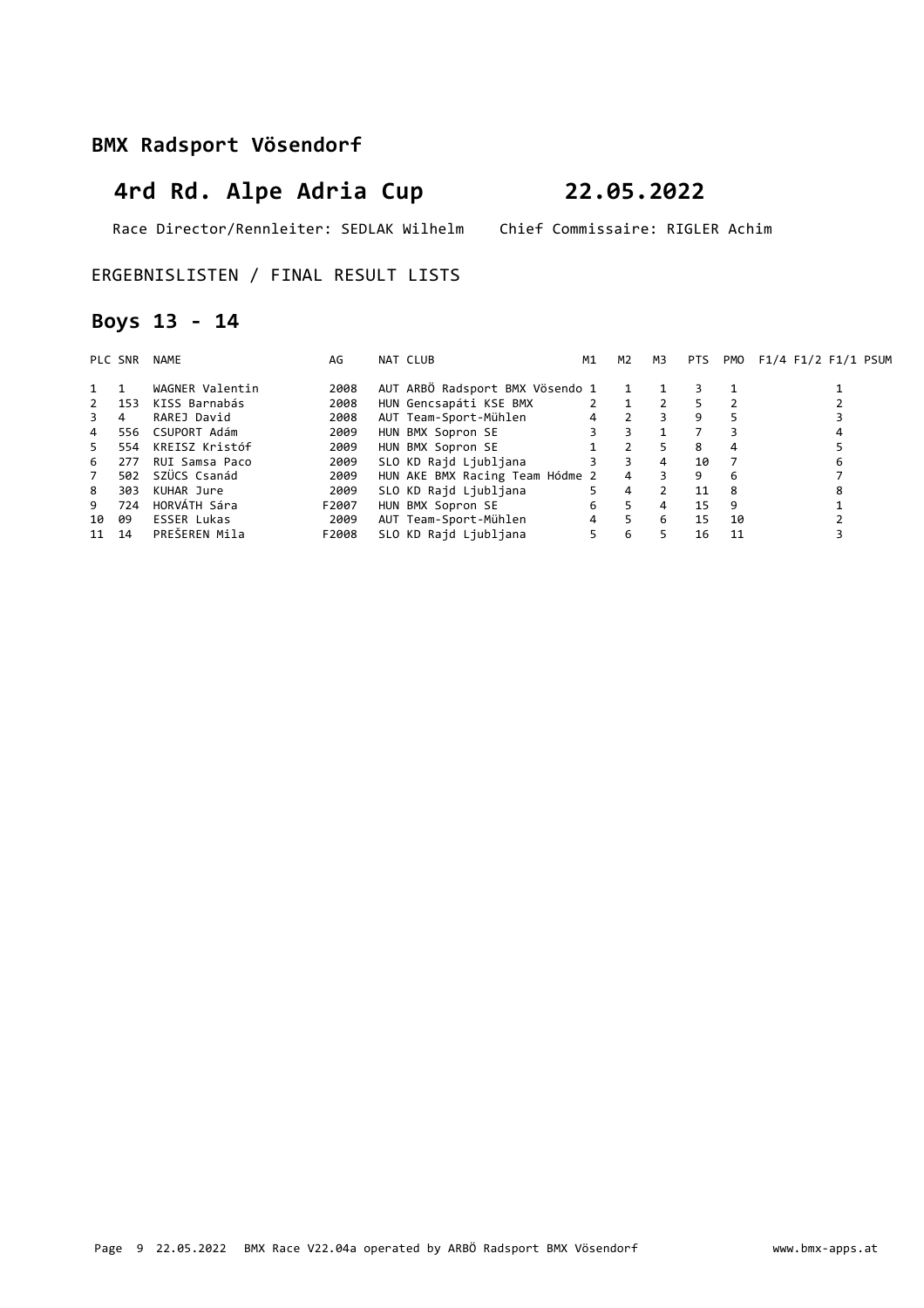# **4rd Rd. Alpe Adria Cup 22.05.2022**

Race Director/Rennleiter: SEDLAK Wilhelm Chief Commissaire: RIGLER Achim

### ERGEBNISLISTEN / FINAL RESULT LISTS

## **Boys 13 - 14**

|             | PLC SNR | NAME               | AG    | NAT CLUB                        | M1             | M <sub>2</sub> | мз | <b>PTS</b> |    | PMO F1/4 F1/2 F1/1 PSUM |
|-------------|---------|--------------------|-------|---------------------------------|----------------|----------------|----|------------|----|-------------------------|
| $1 \quad 1$ |         | WAGNER Valentin    | 2008  | AUT ARBÖ Radsport BMX Vösendo 1 |                | $\mathbf{1}$   |    | 3.         |    |                         |
| 2           | 153     | KISS Barnabás      | 2008  | HUN Gencsapáti KSE BMX          |                | $2 \quad 1$    |    | 5.         |    |                         |
| 3           | 4       | RAREJ David        | 2008  | AUT Team-Sport-Mühlen           | $\overline{4}$ | $\overline{2}$ | 3  | 9          |    |                         |
| 4           | 556     | CSUPORT Adám       | 2009  | HUN BMX Sopron SE               | 3              | 3              |    |            |    |                         |
| 5.          | 554     | KREISZ Kristóf     | 2009  | HUN BMX Sopron SE               |                | 2              | 5. | 8          | 4  |                         |
| 6           | 277     | RUI Samsa Paco     | 2009  | SLO KD Rajd Ljubljana           | 3              | 3              | 4  | 10         |    | 6                       |
| 7           | 502     | SZÜCS Csanád       | 2009  | HUN AKE BMX Racing Team Hódme 2 |                | $\overline{4}$ | 3  | 9          | 6  |                         |
| 8           | 303     | KUHAR Jure         | 2009  | SLO KD Rajd Ljubljana           | 5              | 4              |    | 11         | 8  | 8                       |
| 9           | 724     | HORVÁTH Sára       | F2007 | HUN BMX Sopron SE               | 6              | 5              | 4  | 15         | 9  |                         |
| 10          | 09      | <b>ESSER Lukas</b> | 2009  | AUT Team-Sport-Mühlen           | $\overline{4}$ | 5              | 6  | 15         | 10 |                         |
| 11 14       |         | PREŠEREN Mila      | F2008 | SLO KD Rajd Ljubljana           | 5              | 6              | 5. | 16         | 11 |                         |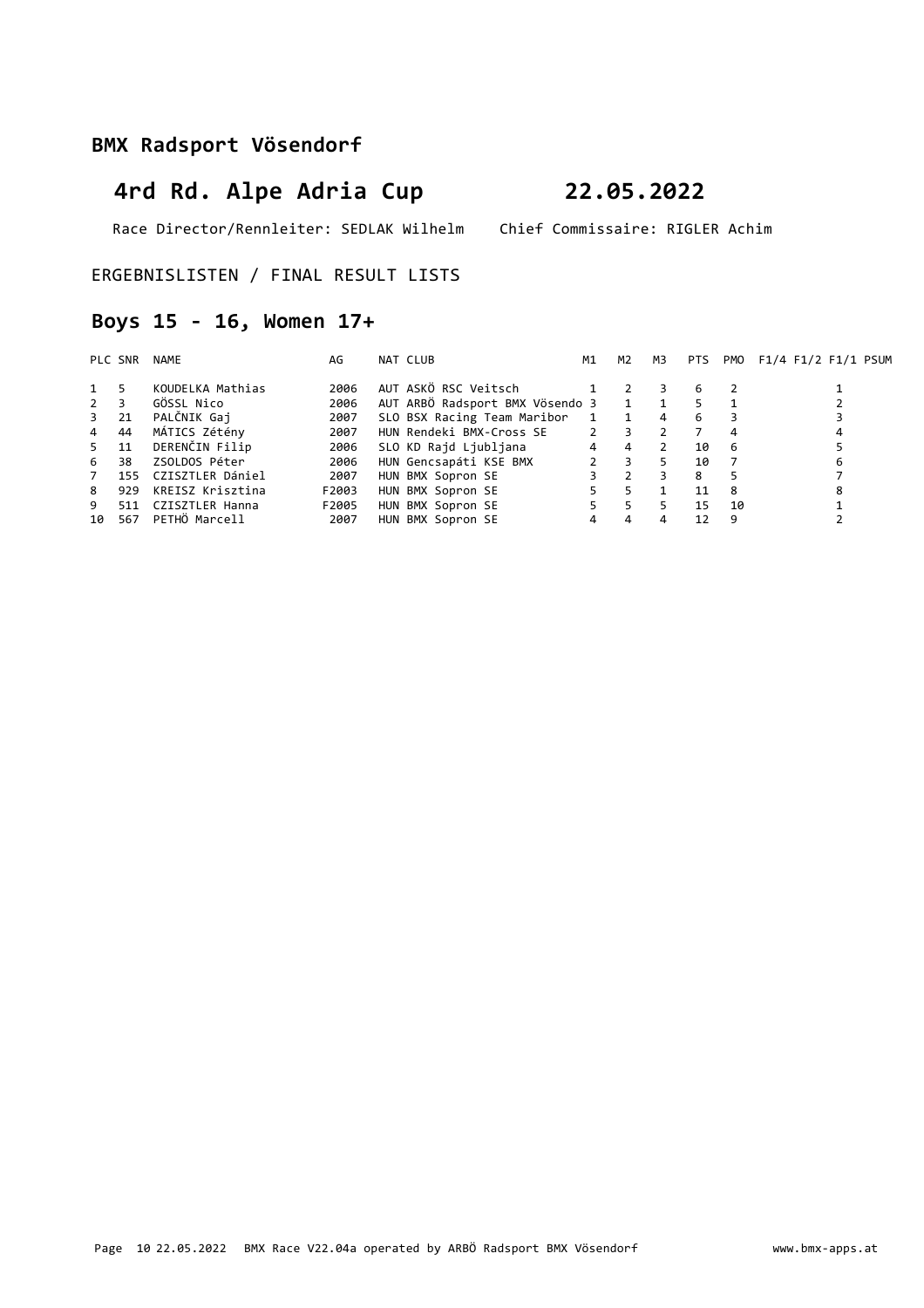# **4rd Rd. Alpe Adria Cup 22.05.2022**

Race Director/Rennleiter: SEDLAK Wilhelm Chief Commissaire: RIGLER Achim

ERGEBNISLISTEN / FINAL RESULT LISTS

## **Boys 15 - 16, Women 17+**

|                | PLC SNR | NAME             | AG    | NAT CLUB                        | M1             | M2           | M3             | <b>PTS</b> | PMO | F1/4 F1/2 F1/1 PSUM |
|----------------|---------|------------------|-------|---------------------------------|----------------|--------------|----------------|------------|-----|---------------------|
| 1 5            |         | KOUDELKA Mathias | 2006  | AUT ASKÖ RSC Veitsch            |                |              |                | 6          |     |                     |
| $2^{\circ}$    | 3       | GÖSSL Nico       | 2006  | AUT ARBÖ Radsport BMX Vösendo 3 |                | $\mathbf{1}$ |                | 5.         |     |                     |
| $3^{\circ}$    | 21      | PALČNIK Gaj      | 2007  | SLO BSX Racing Team Maribor     | 1              | $\mathbf{1}$ | $\overline{4}$ | 6          |     |                     |
| $\overline{4}$ | 44      | MÁTICS Zétény    | 2007  | HUN Rendeki BMX-Cross SE        | $\overline{2}$ | 3            | C              |            |     |                     |
| 5              | 11      | DERENČIN Filip   | 2006  | SLO KD Rajd Ljubljana           | $\overline{4}$ | 4            |                | 10         | -6  |                     |
| 6              | 38      | ZSOLDOS Péter    | 2006  | HUN Gencsapáti KSE BMX          |                | 3            |                | 10         |     | 6                   |
| 7              | 155     | CZISZTLER Dániel | 2007  | HUN BMX Sopron SE               |                |              |                | 8          |     |                     |
| 8              | 929     | KREISZ Krisztina | F2003 | HUN BMX Sopron SE               |                | 5.           |                | 11         | 8   |                     |
| 9              | 511     | CZISZTLER Hanna  | F2005 | HUN BMX Sopron SE               |                | 5.           |                | 15         | 10  |                     |
| 10             | 567     | PETHÖ Marcell    | 2007  | HUN BMX Sopron SE               | 4              | 4            |                | 12         | 9   |                     |